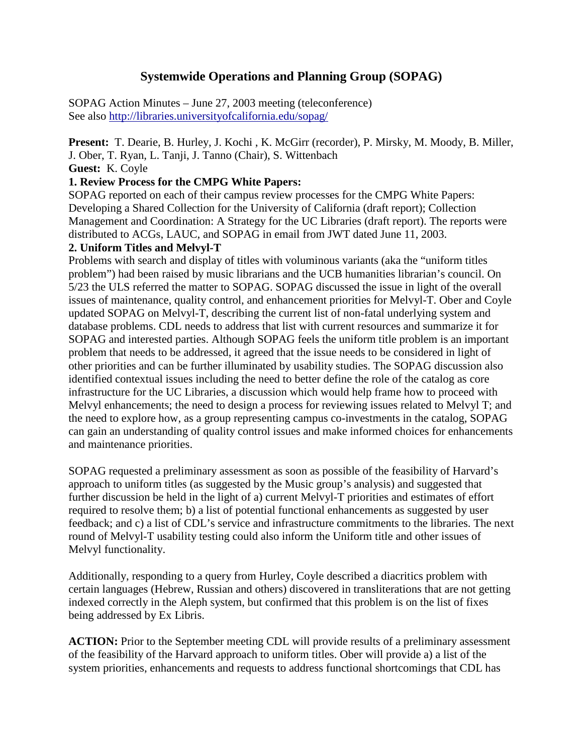# **Systemwide Operations and Planning Group (SOPAG)**

SOPAG Action Minutes – June 27, 2003 meeting (teleconference) See also http://libraries.universityofcalifornia.edu/sopag/

**Present:** T. Dearie, B. Hurley, J. Kochi , K. McGirr (recorder), P. Mirsky, M. Moody, B. Miller, J. Ober, T. Ryan, L. Tanji, J. Tanno (Chair), S. Wittenbach

**Guest:** K. Coyle

### **1. Review Process for the CMPG White Papers:**

SOPAG reported on each of their campus review processes for the CMPG White Papers: Developing a Shared Collection for the University of California (draft report); Collection Management and Coordination: A Strategy for the UC Libraries (draft report). The reports were distributed to ACGs, LAUC, and SOPAG in email from JWT dated June 11, 2003.

#### **2. Uniform Titles and Melvyl-T**

Problems with search and display of titles with voluminous variants (aka the "uniform titles problem") had been raised by music librarians and the UCB humanities librarian's council. On 5/23 the ULS referred the matter to SOPAG. SOPAG discussed the issue in light of the overall issues of maintenance, quality control, and enhancement priorities for Melvyl-T. Ober and Coyle updated SOPAG on Melvyl-T, describing the current list of non-fatal underlying system and database problems. CDL needs to address that list with current resources and summarize it for SOPAG and interested parties. Although SOPAG feels the uniform title problem is an important problem that needs to be addressed, it agreed that the issue needs to be considered in light of other priorities and can be further illuminated by usability studies. The SOPAG discussion also identified contextual issues including the need to better define the role of the catalog as core infrastructure for the UC Libraries, a discussion which would help frame how to proceed with Melvyl enhancements; the need to design a process for reviewing issues related to Melvyl T; and the need to explore how, as a group representing campus co-investments in the catalog, SOPAG can gain an understanding of quality control issues and make informed choices for enhancements and maintenance priorities.

SOPAG requested a preliminary assessment as soon as possible of the feasibility of Harvard's approach to uniform titles (as suggested by the Music group's analysis) and suggested that further discussion be held in the light of a) current Melvyl-T priorities and estimates of effort required to resolve them; b) a list of potential functional enhancements as suggested by user feedback; and c) a list of CDL's service and infrastructure commitments to the libraries. The next round of Melvyl-T usability testing could also inform the Uniform title and other issues of Melvyl functionality.

Additionally, responding to a query from Hurley, Coyle described a diacritics problem with certain languages (Hebrew, Russian and others) discovered in transliterations that are not getting indexed correctly in the Aleph system, but confirmed that this problem is on the list of fixes being addressed by Ex Libris.

**ACTION:** Prior to the September meeting CDL will provide results of a preliminary assessment of the feasibility of the Harvard approach to uniform titles. Ober will provide a) a list of the system priorities, enhancements and requests to address functional shortcomings that CDL has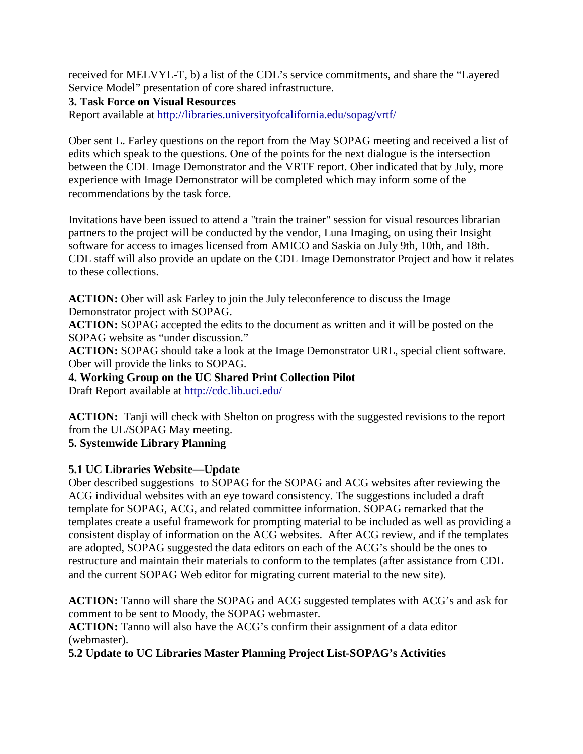received for MELVYL-T, b) a list of the CDL's service commitments, and share the "Layered Service Model" presentation of core shared infrastructure.

**3. Task Force on Visual Resources**

Report available at<http://libraries.universityofcalifornia.edu/sopag/vrtf/>

Ober sent L. Farley questions on the report from the May SOPAG meeting and received a list of edits which speak to the questions. One of the points for the next dialogue is the intersection between the CDL Image Demonstrator and the VRTF report. Ober indicated that by July, more experience with Image Demonstrator will be completed which may inform some of the recommendations by the task force.

Invitations have been issued to attend a "train the trainer" session for visual resources librarian partners to the project will be conducted by the vendor, Luna Imaging, on using their Insight software for access to images licensed from AMICO and Saskia on July 9th, 10th, and 18th. CDL staff will also provide an update on the CDL Image Demonstrator Project and how it relates to these collections.

**ACTION:** Ober will ask Farley to join the July teleconference to discuss the Image Demonstrator project with SOPAG.

**ACTION:** SOPAG accepted the edits to the document as written and it will be posted on the SOPAG website as "under discussion."

**ACTION:** SOPAG should take a look at the Image Demonstrator URL, special client software. Ober will provide the links to SOPAG.

**4. Working Group on the UC Shared Print Collection Pilot** 

Draft Report available at<http://cdc.lib.uci.edu/>

**ACTION:** Tanji will check with Shelton on progress with the suggested revisions to the report from the UL/SOPAG May meeting.

**5. Systemwide Library Planning** 

**5.1 UC Libraries Website—Update**

Ober described suggestions to SOPAG for the SOPAG and ACG websites after reviewing the ACG individual websites with an eye toward consistency. The suggestions included a draft template for SOPAG, ACG, and related committee information. SOPAG remarked that the templates create a useful framework for prompting material to be included as well as providing a consistent display of information on the ACG websites. After ACG review, and if the templates are adopted, SOPAG suggested the data editors on each of the ACG's should be the ones to restructure and maintain their materials to conform to the templates (after assistance from CDL and the current SOPAG Web editor for migrating current material to the new site).

**ACTION:** Tanno will share the SOPAG and ACG suggested templates with ACG's and ask for comment to be sent to Moody, the SOPAG webmaster.

**ACTION:** Tanno will also have the ACG's confirm their assignment of a data editor (webmaster).

**5.2 Update to UC Libraries Master Planning Project List-SOPAG's Activities**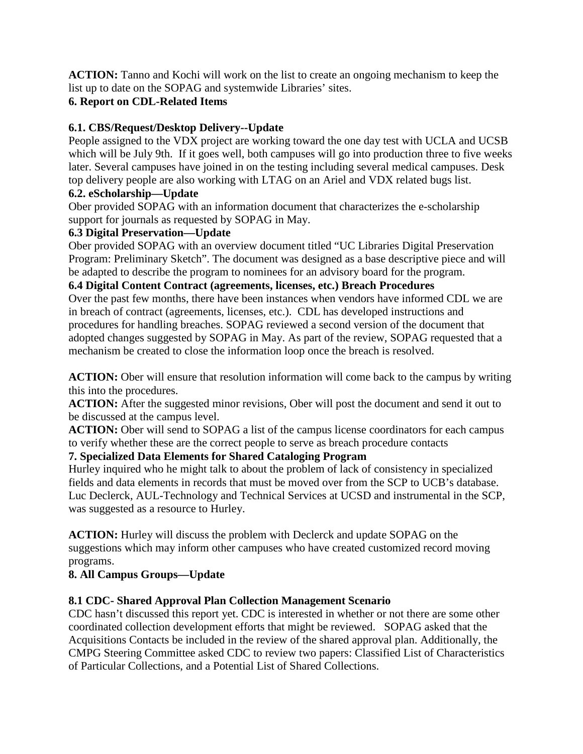**ACTION:** Tanno and Kochi will work on the list to create an ongoing mechanism to keep the list up to date on the SOPAG and systemwide Libraries' sites.

# **6. Report on CDL-Related Items**

# **6.1. CBS/Request/Desktop Delivery--Update**

People assigned to the VDX project are working toward the one day test with UCLA and UCSB which will be July 9th. If it goes well, both campuses will go into production three to five weeks later. Several campuses have joined in on the testing including several medical campuses. Desk top delivery people are also working with LTAG on an Ariel and VDX related bugs list.

# **6.2. eScholarship—Update**

Ober provided SOPAG with an information document that characterizes the e-scholarship support for journals as requested by SOPAG in May.

## **6.3 Digital Preservation—Update**

Ober provided SOPAG with an overview document titled "UC Libraries Digital Preservation Program: Preliminary Sketch". The document was designed as a base descriptive piece and will be adapted to describe the program to nominees for an advisory board for the program.

### **6.4 Digital Content Contract (agreements, licenses, etc.) Breach Procedures**

Over the past few months, there have been instances when vendors have informed CDL we are in breach of contract (agreements, licenses, etc.). CDL has developed instructions and procedures for handling breaches. SOPAG reviewed a second version of the document that adopted changes suggested by SOPAG in May. As part of the review, SOPAG requested that a mechanism be created to close the information loop once the breach is resolved.

**ACTION:** Ober will ensure that resolution information will come back to the campus by writing this into the procedures.

ACTION: After the suggested minor revisions, Ober will post the document and send it out to be discussed at the campus level.

**ACTION:** Ober will send to SOPAG a list of the campus license coordinators for each campus to verify whether these are the correct people to serve as breach procedure contacts

# **7. Specialized Data Elements for Shared Cataloging Program**

Hurley inquired who he might talk to about the problem of lack of consistency in specialized fields and data elements in records that must be moved over from the SCP to UCB's database. Luc Declerck, AUL-Technology and Technical Services at UCSD and instrumental in the SCP, was suggested as a resource to Hurley.

**ACTION:** Hurley will discuss the problem with Declerck and update SOPAG on the suggestions which may inform other campuses who have created customized record moving programs.

## **8. All Campus Groups—Update**

## **8.1 CDC- Shared Approval Plan Collection Management Scenario**

CDC hasn't discussed this report yet. CDC is interested in whether or not there are some other coordinated collection development efforts that might be reviewed. SOPAG asked that the Acquisitions Contacts be included in the review of the shared approval plan. Additionally, the CMPG Steering Committee asked CDC to review two papers: Classified List of Characteristics of Particular Collections, and a Potential List of Shared Collections.